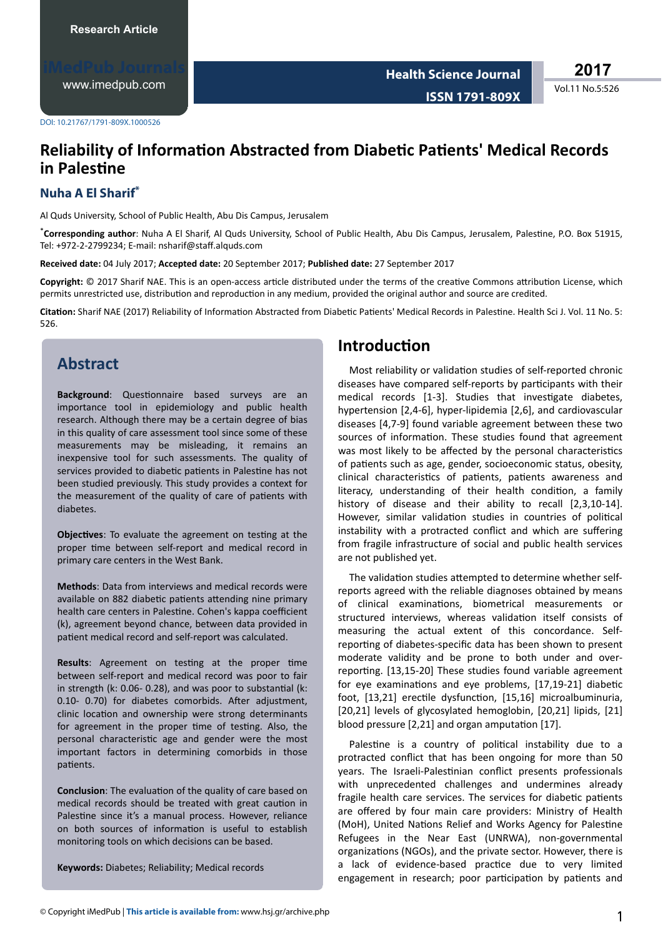[www.imedpub.com](http://www.imedpub.com/)

**2017**

Vol.11 No.5:526

DOI: 10.21767/1791-809X.1000526

# **Reliability of Information Abstracted from Diabetic Patients' Medical Records in Palestine**

## **Nuha A El Sharif\***

Al Quds University, School of Public Health, Abu Dis Campus, Jerusalem

\*Corresponding author: Nuha A El Sharif, Al Quds University, School of Public Health, Abu Dis Campus, Jerusalem, Palestine, P.O. Box 51915, Tel: +972-2-2799234; E-mail: nsharif@staff.alquds.com

**Received date:** 04 July 2017; **Accepted date:** 20 September 2017; **Published date:** 27 September 2017

Copyright: © 2017 Sharif NAE. This is an open-access article distributed under the terms of the creative Commons attribution License, which permits unrestricted use, distribution and reproduction in any medium, provided the original author and source are credited.

Citation: Sharif NAE (2017) Reliability of Information Abstracted from Diabetic Patients' Medical Records in Palestine. Health Sci J. Vol. 11 No. 5: 526.

## **Abstract**

Background: Questionnaire based surveys are an importance tool in epidemiology and public health research. Although there may be a certain degree of bias in this quality of care assessment tool since some of these measurements may be misleading, it remains an inexpensive tool for such assessments. The quality of services provided to diabetic patients in Palestine has not been studied previously. This study provides a context for the measurement of the quality of care of patients with diabetes.

**Objectives**: To evaluate the agreement on testing at the proper time between self-report and medical record in primary care centers in the West Bank.

**Methods**: Data from interviews and medical records were available on 882 diabetic patients attending nine primary health care centers in Palestine. Cohen's kappa coefficient (k), agreement beyond chance, between data provided in patient medical record and self-report was calculated.

Results: Agreement on testing at the proper time between self-report and medical record was poor to fair in strength (k:  $0.06 - 0.28$ ), and was poor to substantial (k: 0.10- 0.70) for diabetes comorbids. After adjustment, clinic location and ownership were strong determinants for agreement in the proper time of testing. Also, the personal characteristic age and gender were the most important factors in determining comorbids in those patients.

**Conclusion**: The evaluation of the quality of care based on medical records should be treated with great caution in Palestine since it's a manual process. However, reliance on both sources of information is useful to establish monitoring tools on which decisions can be based.

**Keywords:** Diabetes; Reliability; Medical records

## **Introduction**

Most reliability or validation studies of self-reported chronic diseases have compared self-reports by participants with their medical records [1-3]. Studies that investigate diabetes, hypertension [2,4-6], hyper-lipidemia [2,6], and cardiovascular diseases [4,7-9] found variable agreement between these two sources of information. These studies found that agreement was most likely to be affected by the personal characteristics of patients such as age, gender, socioeconomic status, obesity, clinical characteristics of patients, patients awareness and literacy, understanding of their health condition, a family history of disease and their ability to recall [2,3,10-14]. However, similar validation studies in countries of political instability with a protracted conflict and which are suffering from fragile infrastructure of social and public health services are not published yet.

The validation studies attempted to determine whether selfreports agreed with the reliable diagnoses obtained by means of clinical examinations, biometrical measurements or structured interviews, whereas validation itself consists of measuring the actual extent of this concordance. Selfreporting of diabetes-specific data has been shown to present moderate validity and be prone to both under and overreporting. [13,15-20] These studies found variable agreement for eye examinations and eye problems, [17,19-21] diabetic foot, [13,21] erectile dysfunction, [15,16] microalbuminuria, [20,21] levels of glycosylated hemoglobin, [20,21] lipids, [21] blood pressure  $[2,21]$  and organ amputation  $[17]$ .

Palestine is a country of political instability due to a protracted conflict that has been ongoing for more than 50 years. The Israeli-Palestinian conflict presents professionals with unprecedented challenges and undermines already fragile health care services. The services for diabetic patients are offered by four main care providers: Ministry of Health (MoH), United Nations Relief and Works Agency for Palestine Refugees in the Near East (UNRWA), non-governmental organizations (NGOs), and the private sector. However, there is a lack of evidence-based practice due to very limited engagement in research; poor participation by patients and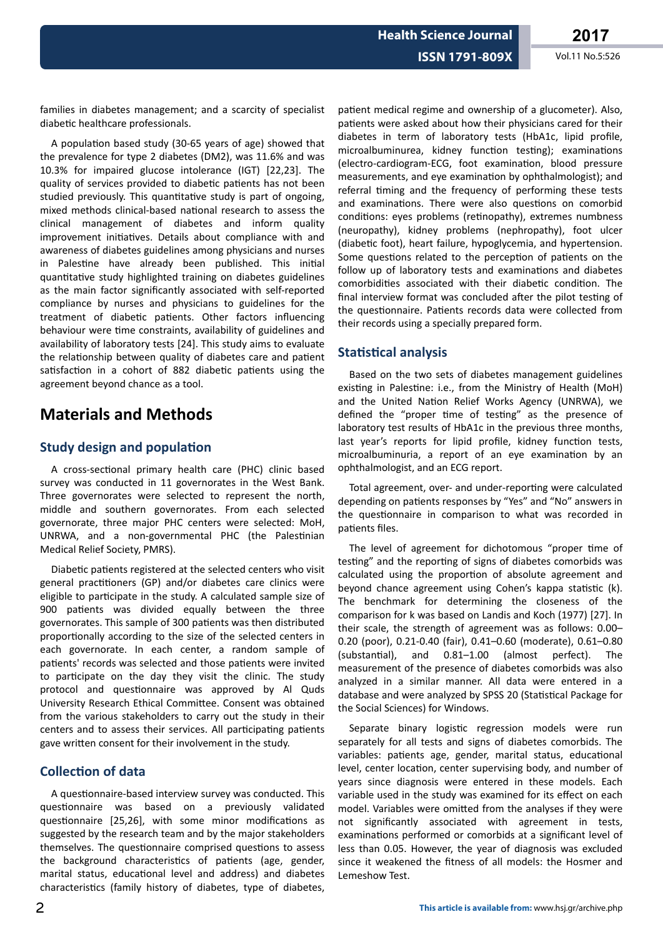#### **ISSN 1791-809X** Vol.11 No.5:526

families in diabetes management; and a scarcity of specialist diabetic healthcare professionals.

A population based study (30-65 years of age) showed that the prevalence for type 2 diabetes (DM2), was 11.6% and was 10.3% for impaired glucose intolerance (IGT) [22,23]. The quality of services provided to diabetic patients has not been studied previously. This quantitative study is part of ongoing, mixed methods clinical-based national research to assess the clinical management of diabetes and inform quality improvement initiatives. Details about compliance with and awareness of diabetes guidelines among physicians and nurses in Palestine have already been published. This initial quantitative study highlighted training on diabetes guidelines as the main factor significantly associated with self-reported compliance by nurses and physicians to guidelines for the treatment of diabetic patients. Other factors influencing behaviour were time constraints, availability of guidelines and availability of laboratory tests [24]. This study aims to evaluate the relationship between quality of diabetes care and patient satisfaction in a cohort of 882 diabetic patients using the agreement beyond chance as a tool.

# **Materials and Methods**

## **Study design and population**

A cross-sectional primary health care (PHC) clinic based survey was conducted in 11 governorates in the West Bank. Three governorates were selected to represent the north, middle and southern governorates. From each selected governorate, three major PHC centers were selected: MoH, UNRWA, and a non-governmental PHC (the Palestinian Medical Relief Society, PMRS).

Diabetic patients registered at the selected centers who visit general practitioners (GP) and/or diabetes care clinics were eligible to participate in the study. A calculated sample size of 900 patients was divided equally between the three governorates. This sample of 300 patients was then distributed proportionally according to the size of the selected centers in each governorate. In each center, a random sample of patients' records was selected and those patients were invited to participate on the day they visit the clinic. The study protocol and questionnaire was approved by Al Quds University Research Ethical Committee. Consent was obtained from the various stakeholders to carry out the study in their centers and to assess their services. All participating patients gave written consent for their involvement in the study.

## **Collection of data**

A questionnaire-based interview survey was conducted. This questionnaire was based on a previously validated questionnaire [25,26], with some minor modifications as suggested by the research team and by the major stakeholders themselves. The questionnaire comprised questions to assess the background characteristics of patients (age, gender, marital status, educational level and address) and diabetes characteristics (family history of diabetes, type of diabetes,

patient medical regime and ownership of a glucometer). Also, patients were asked about how their physicians cared for their diabetes in term of laboratory tests (HbA1c, lipid profile, microalbuminurea, kidney function testing); examinations (electro-cardiogram-ECG, foot examination, blood pressure measurements, and eye examination by ophthalmologist); and referral timing and the frequency of performing these tests and examinations. There were also questions on comorbid conditions: eyes problems (retinopathy), extremes numbness (neuropathy), kidney problems (nephropathy), foot ulcer (diabetic foot), heart failure, hypoglycemia, and hypertension. Some questions related to the perception of patients on the follow up of laboratory tests and examinations and diabetes comorbidities associated with their diabetic condition. The final interview format was concluded after the pilot testing of the questionnaire. Patients records data were collected from their records using a specially prepared form.

## **Statistical analysis**

Based on the two sets of diabetes management guidelines existing in Palestine: i.e., from the Ministry of Health (MoH) and the United Nation Relief Works Agency (UNRWA), we defined the "proper time of testing" as the presence of laboratory test results of HbA1c in the previous three months, last year's reports for lipid profile, kidney function tests, microalbuminuria, a report of an eye examination by an ophthalmologist, and an ECG report.

Total agreement, over- and under-reporting were calculated depending on patients responses by "Yes" and "No" answers in the questionnaire in comparison to what was recorded in patients files.

The level of agreement for dichotomous "proper time of testing" and the reporting of signs of diabetes comorbids was calculated using the proportion of absolute agreement and beyond chance agreement using Cohen's kappa statistic (k). The benchmark for determining the closeness of the comparison for k was based on Landis and Koch (1977) [27]. In their scale, the strength of agreement was as follows: 0.00– 0.20 (poor), 0.21-0.40 (fair), 0.41–0.60 (moderate), 0.61–0.80 (substantial). and 0.81–1.00 (almost perfect). The measurement of the presence of diabetes comorbids was also analyzed in a similar manner. All data were entered in a database and were analyzed by SPSS 20 (Statistical Package for the Social Sciences) for Windows.

Separate binary logistic regression models were run separately for all tests and signs of diabetes comorbids. The variables: patients age, gender, marital status, educational level, center location, center supervising body, and number of years since diagnosis were entered in these models. Each variable used in the study was examined for its effect on each model. Variables were omitted from the analyses if they were not significantly associated with agreement in tests, examinations performed or comorbids at a significant level of less than 0.05. However, the year of diagnosis was excluded since it weakened the fitness of all models: the Hosmer and Lemeshow Test.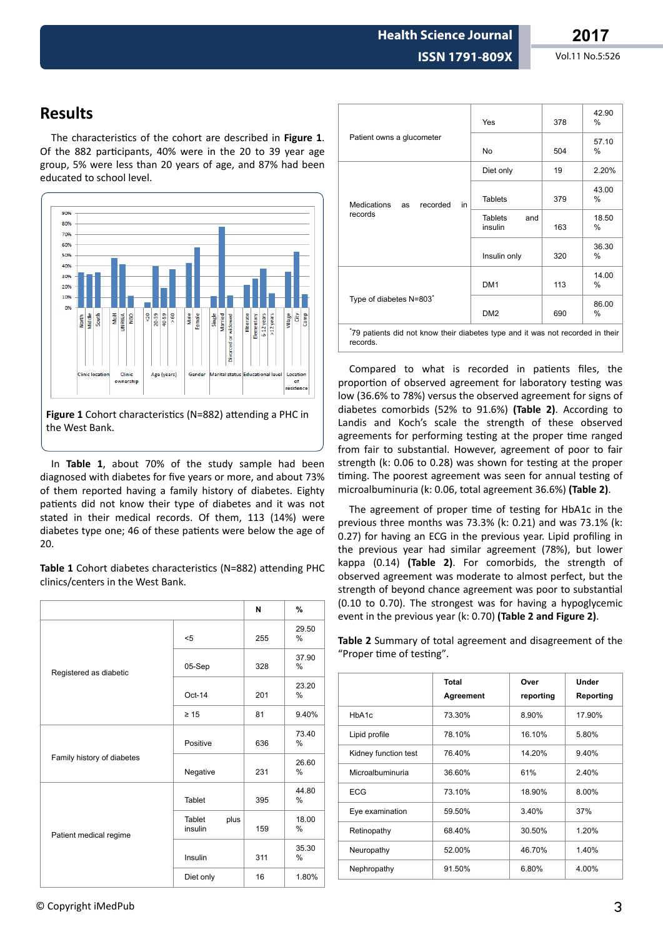# **Results**

The characteristics of the cohort are described in Figure 1. Of the 882 participants, 40% were in the 20 to 39 year age group, 5% were less than 20 years of age, and 87% had been educated to school level.



Figure 1 Cohort characteristics (N=882) attending a PHC in the West Bank.

In **Table 1**, about 70% of the study sample had been diagnosed with diabetes for five years or more, and about 73% of them reported having a family history of diabetes. Eighty patients did not know their type of diabetes and it was not stated in their medical records. Of them, 113 (14%) were diabetes type one: 46 of these patients were below the age of 20.

Table 1 Cohort diabetes characteristics (N=882) attending PHC clinics/centers in the West Bank.

|                            |                                  | N   | %             |
|----------------------------|----------------------------------|-----|---------------|
| Registered as diabetic     | $5$                              | 255 | 29.50<br>$\%$ |
|                            | 05-Sep                           | 328 | 37.90<br>$\%$ |
|                            | Oct-14                           | 201 | 23.20<br>$\%$ |
|                            | $\geq 15$                        | 81  | 9.40%         |
| Family history of diabetes | Positive                         | 636 | 73.40<br>$\%$ |
|                            | Negative                         | 231 | 26.60<br>%    |
| Patient medical regime     | Tablet                           | 395 | 44.80<br>%    |
|                            | <b>Tablet</b><br>plus<br>insulin | 159 | 18.00<br>%    |
|                            | Insulin                          | 311 | 35.30<br>$\%$ |
|                            | Diet only                        | 16  | 1.80%         |

|                                                                                           | Yes                              | 378 | 42.90<br>$\%$ |  |
|-------------------------------------------------------------------------------------------|----------------------------------|-----|---------------|--|
| Patient owns a glucometer                                                                 | <b>No</b>                        | 504 | 57.10<br>$\%$ |  |
| <b>Medications</b><br>recorded<br>in<br>as<br>records                                     | Diet only                        | 19  | 2.20%         |  |
|                                                                                           | <b>Tablets</b>                   | 379 | 43.00<br>$\%$ |  |
|                                                                                           | <b>Tablets</b><br>and<br>insulin | 163 | 18.50<br>$\%$ |  |
|                                                                                           | Insulin only                     | 320 | 36.30<br>$\%$ |  |
|                                                                                           | DM <sub>1</sub>                  | 113 | 14.00<br>%    |  |
| Type of diabetes N=803*                                                                   | DM <sub>2</sub>                  | 690 | 86.00<br>%    |  |
| *79 patients did not know their diabetes type and it was not recorded in their<br>records |                                  |     |               |  |

Compared to what is recorded in patients files, the proportion of observed agreement for laboratory testing was low (36.6% to 78%) versus the observed agreement for signs of diabetes comorbids (52% to 91.6%) **(Table 2)**. According to Landis and Koch's scale the strength of these observed agreements for performing testing at the proper time ranged from fair to substantial. However, agreement of poor to fair strength (k: 0.06 to 0.28) was shown for testing at the proper timing. The poorest agreement was seen for annual testing of microalbuminuria (k: 0.06, total agreement 36.6%) **(Table 2)**.

The agreement of proper time of testing for HbA1c in the previous three months was 73.3% (k: 0.21) and was 73.1% (k: 0.27) for having an ECG in the previous year. Lipid profiling in the previous year had similar agreement (78%), but lower kappa (0.14) **(Table 2)**. For comorbids, the strength of observed agreement was moderate to almost perfect, but the strength of beyond chance agreement was poor to substantial (0.10 to 0.70). The strongest was for having a hypoglycemic event in the previous year (k: 0.70) **(Table 2 and Figure 2)**.

**Table 2** Summary of total agreement and disagreement of the "Proper time of testing".

|                      | Total<br>Agreement | Over<br>reporting | Under<br>Reporting |
|----------------------|--------------------|-------------------|--------------------|
| HbA1c                | 73.30%             | 8.90%             | 17.90%             |
| Lipid profile        | 78.10%             | 16.10%            | 5.80%              |
| Kidney function test | 76.40%             | 14.20%            | 9.40%              |
| Microalbuminuria     | 36.60%             | 61%               | 2.40%              |
| <b>ECG</b>           | 73.10%             | 18.90%            | 8.00%              |
| Eye examination      | 59.50%             | 3.40%             | 37%                |
| Retinopathy          | 68.40%             | 30.50%            | 1.20%              |
| Neuropathy           | 52.00%             | 46.70%            | 1.40%              |
| Nephropathy          | 91.50%             | 6.80%             | 4.00%              |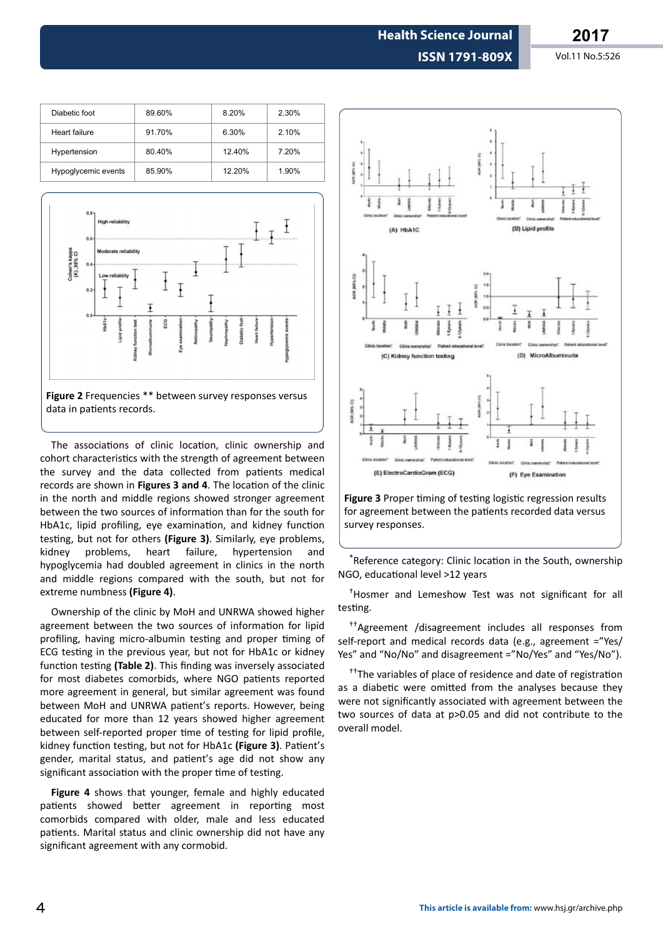# **Health Science Journal ISSN 1791-809X** Vol.11 No.5:526

**2017**

| Diabetic foot       | 89.60% | 8.20%  | 2.30% |
|---------------------|--------|--------|-------|
| Heart failure       | 91.70% | 6.30%  | 2.10% |
| Hypertension        | 80.40% | 12.40% | 7.20% |
| Hypoglycemic events | 85.90% | 12.20% | 1.90% |
|                     |        |        |       |



data in patients records.

The associations of clinic location, clinic ownership and cohort characteristics with the strength of agreement between the survey and the data collected from patients medical records are shown in Figures 3 and 4. The location of the clinic in the north and middle regions showed stronger agreement between the two sources of information than for the south for HbA1c, lipid profiling, eye examination, and kidney function testing, but not for others (Figure 3). Similarly, eye problems, kidney problems, heart failure, hypertension and hypoglycemia had doubled agreement in clinics in the north and middle regions compared with the south, but not for extreme numbness **(Figure 4)**.

Ownership of the clinic by MoH and UNRWA showed higher agreement between the two sources of information for lipid profiling, having micro-albumin testing and proper timing of ECG testing in the previous year, but not for HbA1c or kidney function testing (Table 2). This finding was inversely associated for most diabetes comorbids, where NGO patients reported more agreement in general, but similar agreement was found between MoH and UNRWA patient's reports. However, being educated for more than 12 years showed higher agreement between self-reported proper time of testing for lipid profile, kidney function testing, but not for HbA1c (Figure 3). Patient's gender, marital status, and patient's age did not show any significant association with the proper time of testing.

**Figure 4** shows that younger, female and highly educated patients showed better agreement in reporting most comorbids compared with older, male and less educated patients. Marital status and clinic ownership did not have any significant agreement with any cormobid.



Figure 3 Proper timing of testing logistic regression results for agreement between the patients recorded data versus survey responses.

\*Reference category: Clinic location in the South, ownership NGO, educational level >12 years

<sup>†</sup>Hosmer and Lemeshow Test was not significant for all testing.

††Agreement /disagreement includes all responses from self-report and medical records data (e.g., agreement ="Yes/ Yes" and "No/No" and disagreement ="No/Yes" and "Yes/No").

<sup>††</sup>The variables of place of residence and date of registration as a diabetic were omitted from the analyses because they were not significantly associated with agreement between the two sources of data at p>0.05 and did not contribute to the overall model.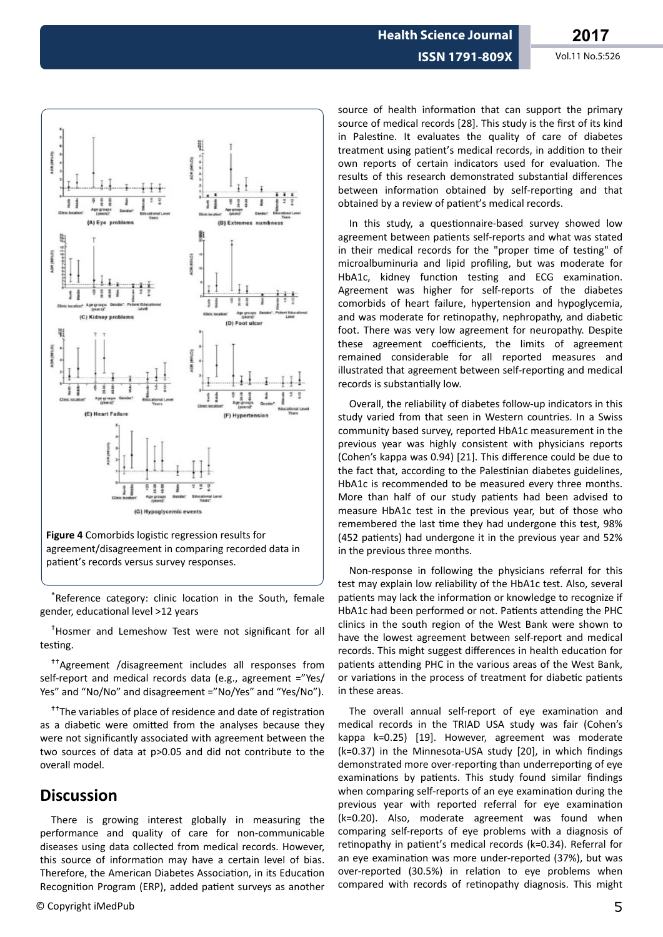# **Health Science Journal**

**ISSN 1791-809X** Vol.11 No.5:526



Figure 4 Comorbids logistic regression results for agreement/disagreement in comparing recorded data in patient's records versus survey responses.

\*Reference category: clinic location in the South, female gender, educational level >12 years

<sup>†</sup>Hosmer and Lemeshow Test were not significant for all testing.

††Agreement /disagreement includes all responses from self-report and medical records data (e.g., agreement ="Yes/ Yes" and "No/No" and disagreement ="No/Yes" and "Yes/No").

<sup>++</sup>The variables of place of residence and date of registration as a diabetic were omitted from the analyses because they were not significantly associated with agreement between the two sources of data at p>0.05 and did not contribute to the overall model.

## **Discussion**

There is growing interest globally in measuring the performance and quality of care for non-communicable diseases using data collected from medical records. However, this source of information may have a certain level of bias. Therefore, the American Diabetes Association, in its Education Recognition Program (ERP), added patient surveys as another

© Copyright iMedPub 5

source of health information that can support the primary source of medical records [28]. This study is the first of its kind in Palestine. It evaluates the quality of care of diabetes treatment using patient's medical records, in addition to their own reports of certain indicators used for evaluation. The results of this research demonstrated substantial differences between information obtained by self-reporting and that obtained by a review of patient's medical records.

In this study, a questionnaire-based survey showed low agreement between patients self-reports and what was stated in their medical records for the "proper time of testing" of microalbuminuria and lipid profiling, but was moderate for HbA1c, kidney function testing and ECG examination. Agreement was higher for self-reports of the diabetes comorbids of heart failure, hypertension and hypoglycemia, and was moderate for retinopathy, nephropathy, and diabetic foot. There was very low agreement for neuropathy. Despite these agreement coefficients, the limits of agreement remained considerable for all reported measures and illustrated that agreement between self-reporting and medical records is substantially low.

Overall, the reliability of diabetes follow-up indicators in this study varied from that seen in Western countries. In a Swiss community based survey, reported HbA1c measurement in the previous year was highly consistent with physicians reports (Cohen's kappa was 0.94) [21]. This difference could be due to the fact that, according to the Palestinian diabetes guidelines. HbA1c is recommended to be measured every three months. More than half of our study patients had been advised to measure HbA1c test in the previous year, but of those who remembered the last time they had undergone this test, 98% (452 patients) had undergone it in the previous year and 52% in the previous three months.

Non-response in following the physicians referral for this test may explain low reliability of the HbA1c test. Also, several patients may lack the information or knowledge to recognize if HbA1c had been performed or not. Patients attending the PHC clinics in the south region of the West Bank were shown to have the lowest agreement between self-report and medical records. This might suggest differences in health education for patients attending PHC in the various areas of the West Bank, or variations in the process of treatment for diabetic patients in these areas.

The overall annual self-report of eye examination and medical records in the TRIAD USA study was fair (Cohen's kappa k=0.25) [19]. However, agreement was moderate (k=0.37) in the Minnesota-USA study  $[20]$ , in which findings demonstrated more over-reporting than underreporting of eye examinations by patients. This study found similar findings when comparing self-reports of an eye examination during the previous year with reported referral for eye examination (k=0.20). Also, moderate agreement was found when comparing self-reports of eye problems with a diagnosis of retinopathy in patient's medical records (k=0.34). Referral for an eye examination was more under-reported (37%), but was over-reported (30.5%) in relation to eye problems when compared with records of retinopathy diagnosis. This might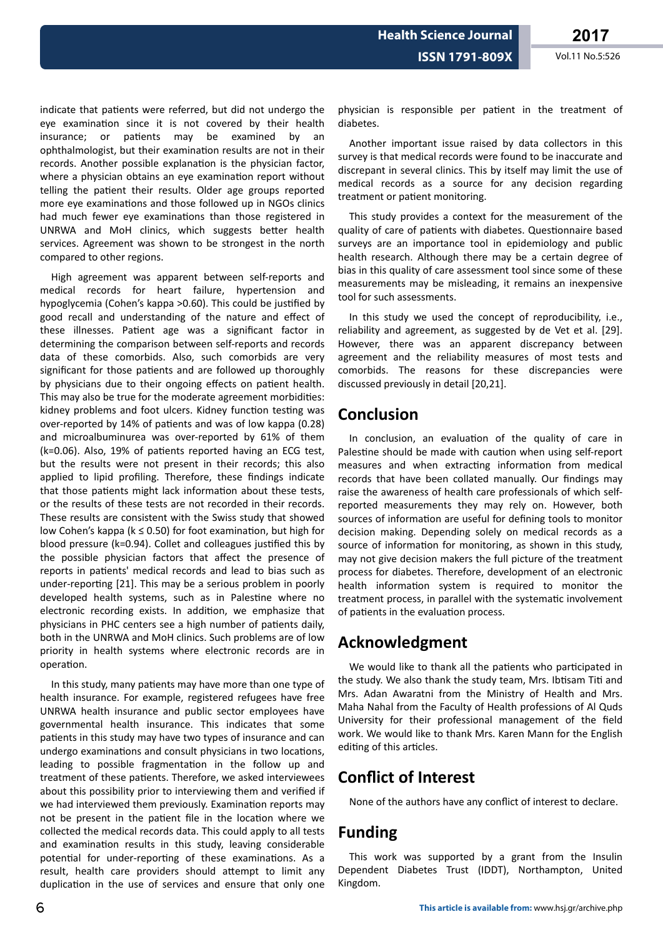indicate that patients were referred, but did not undergo the eye examination since it is not covered by their health insurance; or patients may be examined by an ophthalmologist, but their examination results are not in their records. Another possible explanation is the physician factor, where a physician obtains an eye examination report without telling the patient their results. Older age groups reported more eye examinations and those followed up in NGOs clinics had much fewer eye examinations than those registered in UNRWA and MoH clinics, which suggests better health services. Agreement was shown to be strongest in the north compared to other regions.

High agreement was apparent between self-reports and medical records for heart failure, hypertension and hypoglycemia (Cohen's kappa >0.60). This could be justified by good recall and understanding of the nature and effect of these illnesses. Patient age was a significant factor in determining the comparison between self-reports and records data of these comorbids. Also, such comorbids are very significant for those patients and are followed up thoroughly by physicians due to their ongoing effects on patient health. This may also be true for the moderate agreement morbidities: kidney problems and foot ulcers. Kidney function testing was over-reported by 14% of patients and was of low kappa (0.28) and microalbuminurea was over-reported by 61% of them ( $k=0.06$ ). Also, 19% of patients reported having an ECG test, but the results were not present in their records; this also applied to lipid profiling. Therefore, these findings indicate that those patients might lack information about these tests, or the results of these tests are not recorded in their records. These results are consistent with the Swiss study that showed low Cohen's kappa ( $k \le 0.50$ ) for foot examination, but high for blood pressure (k=0.94). Collet and colleagues justified this by the possible physician factors that affect the presence of reports in patients' medical records and lead to bias such as under-reporting [21]. This may be a serious problem in poorly developed health systems, such as in Palestine where no electronic recording exists. In addition, we emphasize that physicians in PHC centers see a high number of patients daily, both in the UNRWA and MoH clinics. Such problems are of low priority in health systems where electronic records are in operation.

In this study, many patients may have more than one type of health insurance. For example, registered refugees have free UNRWA health insurance and public sector employees have governmental health insurance. This indicates that some patients in this study may have two types of insurance and can undergo examinations and consult physicians in two locations, leading to possible fragmentation in the follow up and treatment of these patients. Therefore, we asked interviewees about this possibility prior to interviewing them and verified if we had interviewed them previously. Examination reports may not be present in the patient file in the location where we collected the medical records data. This could apply to all tests and examination results in this study, leaving considerable potential for under-reporting of these examinations. As a result, health care providers should attempt to limit any duplication in the use of services and ensure that only one physician is responsible per patient in the treatment of diabetes.

Another important issue raised by data collectors in this survey is that medical records were found to be inaccurate and discrepant in several clinics. This by itself may limit the use of medical records as a source for any decision regarding treatment or patient monitoring.

This study provides a context for the measurement of the quality of care of patients with diabetes. Questionnaire based surveys are an importance tool in epidemiology and public health research. Although there may be a certain degree of bias in this quality of care assessment tool since some of these measurements may be misleading, it remains an inexpensive tool for such assessments.

In this study we used the concept of reproducibility, i.e., reliability and agreement, as suggested by de Vet et al. [29]. However, there was an apparent discrepancy between agreement and the reliability measures of most tests and comorbids. The reasons for these discrepancies were discussed previously in detail [20,21].

# **Conclusion**

In conclusion, an evaluation of the quality of care in Palestine should be made with caution when using self-report measures and when extracting information from medical records that have been collated manually. Our findings may raise the awareness of health care professionals of which selfreported measurements they may rely on. However, both sources of information are useful for defining tools to monitor decision making. Depending solely on medical records as a source of information for monitoring, as shown in this study, may not give decision makers the full picture of the treatment process for diabetes. Therefore, development of an electronic health information system is required to monitor the treatment process, in parallel with the systematic involvement of patients in the evaluation process.

# **Acknowledgment**

We would like to thank all the patients who participated in the study. We also thank the study team, Mrs. Ibtisam Titi and Mrs. Adan Awaratni from the Ministry of Health and Mrs. Maha Nahal from the Faculty of Health professions of Al Quds University for their professional management of the field work. We would like to thank Mrs. Karen Mann for the English editing of this articles.

# **Conflict of Interest**

None of the authors have any conflict of interest to declare.

# **Funding**

This work was supported by a grant from the Insulin Dependent Diabetes Trust (IDDT), Northampton, United Kingdom.